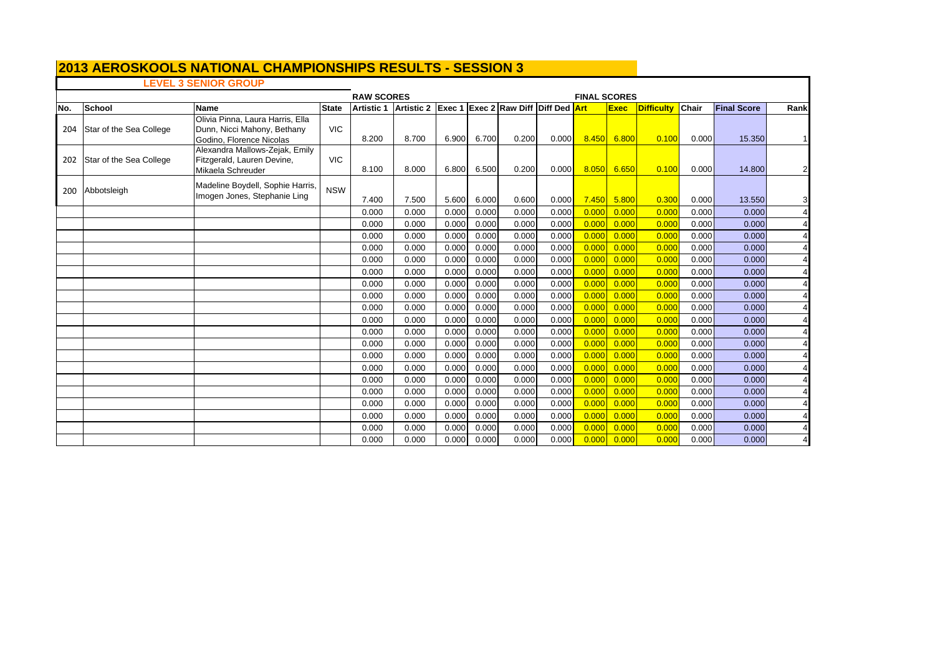## **LEVEL 3 SENIOR GROUP**

|     |                         |                                                                                             | <b>FINAL SCORES</b> |       |                       |       |       |                                     |       |       |             |                   |              |                    |                         |
|-----|-------------------------|---------------------------------------------------------------------------------------------|---------------------|-------|-----------------------|-------|-------|-------------------------------------|-------|-------|-------------|-------------------|--------------|--------------------|-------------------------|
| No. | <b>School</b>           | <b>Name</b>                                                                                 | <b>State</b>        |       | Artistic 1 Artistic 2 |       |       | Exec 1 Exec 2 Raw Diff Diff Ded Art |       |       | <b>Exec</b> | <b>Difficulty</b> | <b>Chair</b> | <b>Final Score</b> | Rank                    |
| 204 | Star of the Sea College | Olivia Pinna, Laura Harris, Ella<br>Dunn, Nicci Mahony, Bethany<br>Godino, Florence Nicolas | <b>VIC</b>          | 8.200 | 8.700                 | 6.900 | 6.700 | 0.200                               | 0.000 | 8.450 | 6.800       | 0.100             | 0.000        | 15.350             |                         |
| 202 | Star of the Sea College | Alexandra Mallows-Zejak, Emily<br>Fitzgerald, Lauren Devine,<br>Mikaela Schreuder           | <b>VIC</b>          | 8.100 | 8.000                 | 6.800 | 6.500 | 0.200                               | 0.000 | 8.050 | 6.650       | 0.100             | 0.000        | 14.800             | $\overline{\mathbf{c}}$ |
|     | 200 Abbotsleigh         | Madeline Boydell, Sophie Harris,<br>Imogen Jones, Stephanie Ling                            | <b>NSW</b>          | 7.400 | 7.500                 | 5.600 | 6.000 | 0.600                               | 0.000 | 7.450 | 5.800       | 0.300             | 0.000        | 13.550             | 3                       |
|     |                         |                                                                                             |                     | 0.000 | 0.000                 | 0.000 | 0.000 | 0.000                               | 0.000 | 0.000 | 0.000       | 0.000             | 0.000        | 0.000              |                         |
|     |                         |                                                                                             |                     | 0.000 | 0.000                 | 0.000 | 0.000 | 0.000                               | 0.000 | 0.000 | 0.000       | 0.00C             | 0.000        | 0.000              |                         |
|     |                         |                                                                                             |                     | 0.000 | 0.000                 | 0.000 | 0.000 | 0.000                               | 0.000 | 0.000 | 0.000       | 0.000             | 0.000        | 0.000              |                         |
|     |                         |                                                                                             |                     | 0.000 | 0.000                 | 0.000 | 0.000 | 0.000                               | 0.000 | 0.000 | 0.000       | 0.00C             | 0.000        | 0.000              |                         |
|     |                         |                                                                                             |                     | 0.000 | 0.000                 | 0.000 | 0.000 | 0.000                               | 0.000 | 0.000 | 0.000       | 0.000             | 0.000        | 0.000              |                         |
|     |                         |                                                                                             |                     | 0.000 | 0.000                 | 0.000 | 0.000 | 0.000                               | 0.000 | 0.000 | 0.000       | 0.00C             | 0.000        | 0.000              |                         |
|     |                         |                                                                                             |                     | 0.000 | 0.000                 | 0.000 | 0.000 | 0.000                               | 0.000 | 0.000 | 0.000       | 0.000             | 0.000        | 0.000              |                         |
|     |                         |                                                                                             |                     | 0.000 | 0.000                 | 0.000 | 0.000 | 0.000                               | 0.000 | 0.000 | 0.000       | 0.00C             | 0.000        | 0.000              |                         |
|     |                         |                                                                                             |                     | 0.000 | 0.000                 | 0.000 | 0.000 | 0.000                               | 0.000 | 0.000 | 0.000       | 0.000             | 0.000        | 0.000              |                         |
|     |                         |                                                                                             |                     | 0.000 | 0.000                 | 0.000 | 0.000 | 0.000                               | 0.000 | 0.000 | 0.000       | 0.00C             | 0.000        | 0.000              |                         |
|     |                         |                                                                                             |                     | 0.000 | 0.000                 | 0.000 | 0.000 | 0.000                               | 0.000 | 0.000 | 0.000       | 0.000             | 0.000        | 0.000              |                         |
|     |                         |                                                                                             |                     | 0.000 | 0.000                 | 0.000 | 0.000 | 0.000                               | 0.000 | 0.000 | 0.000       | 0.00C             | 0.000        | 0.000              |                         |
|     |                         |                                                                                             |                     | 0.000 | 0.000                 | 0.000 | 0.000 | 0.000                               | 0.000 | 0.000 | 0.000       | 0.000             | 0.000        | 0.000              |                         |
|     |                         |                                                                                             |                     | 0.000 | 0.000                 | 0.000 | 0.000 | 0.000                               | 0.000 | 0.000 | 0.000       | 0.000             | 0.000        | 0.000              |                         |
|     |                         |                                                                                             |                     | 0.000 | 0.000                 | 0.000 | 0.000 | 0.000                               | 0.000 | 0.000 | 0.000       | 0.000             | 0.000        | 0.000              |                         |
|     |                         |                                                                                             |                     | 0.000 | 0.000                 | 0.000 | 0.000 | 0.000                               | 0.000 | 0.000 | 0.000       | 0.000             | 0.000        | 0.000              |                         |
|     |                         |                                                                                             |                     | 0.000 | 0.000                 | 0.000 | 0.000 | 0.000                               | 0.000 | 0.000 | 0.000       | 0.000             | 0.000        | 0.000              |                         |
|     |                         |                                                                                             |                     | 0.000 | 0.000                 | 0.000 | 0.000 | 0.000                               | 0.000 | 0.000 | 0.000       | 0.000             | 0.000        | 0.000              |                         |
|     |                         |                                                                                             |                     | 0.000 | 0.000                 | 0.000 | 0.000 | 0.000                               | 0.000 | 0.000 | 0.000       | 0.00C             | 0.000        | 0.000              |                         |
|     |                         |                                                                                             |                     | 0.000 | 0.000                 | 0.000 | 0.000 | 0.000                               | 0.000 | 0.000 | 0.000       | 0.000             | 0.000        | 0.000              |                         |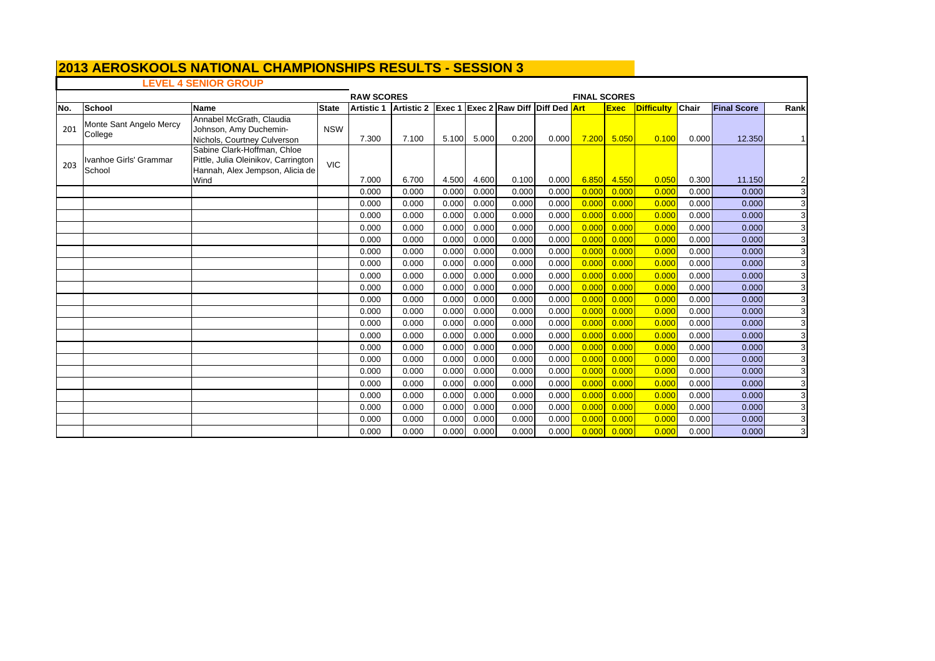## **LEVEL 4 SENIOR GROUP**

|     |                                    |                                                                                                               | <b>RAW SCORES</b> | <b>FINAL SCORES</b><br><b>Exec 1 Exec 2 Raw Diff Diff Ded Art</b> |                   |       |       |       |       |       |             |            |       |                    |                |
|-----|------------------------------------|---------------------------------------------------------------------------------------------------------------|-------------------|-------------------------------------------------------------------|-------------------|-------|-------|-------|-------|-------|-------------|------------|-------|--------------------|----------------|
| No. | School                             | <b>Name</b>                                                                                                   | <b>State</b>      | <b>Artistic 1</b>                                                 | <b>Artistic 2</b> |       |       |       |       |       | <b>Exec</b> | Difficulty | Chair | <b>Final Score</b> | Rank           |
| 201 | Monte Sant Angelo Mercy<br>College | Annabel McGrath, Claudia<br>Johnson, Amy Duchemin-<br>Nichols, Courtney Culverson                             | <b>NSW</b>        | 7.300                                                             | 7.100             | 5.100 | 5.000 | 0.200 | 0.000 | 7.200 | 5.050       | 0.100      | 0.000 | 12.350             |                |
| 203 | Ivanhoe Girls' Grammar<br>School   | Sabine Clark-Hoffman, Chloe<br>Pittle, Julia Oleinikov, Carrington<br>Hannah, Alex Jempson, Alicia de<br>Wind | <b>VIC</b>        | 7.000                                                             | 6.700             | 4.500 | 4.600 | 0.100 | 0.000 | 6.850 | 4.550       | 0.050      | 0.300 | 11.150             | $\overline{2}$ |
|     |                                    |                                                                                                               |                   | 0.000                                                             | 0.000             | 0.000 | 0.000 | 0.000 | 0.000 | 0.000 | 0.000       | 0.000      | 0.000 | 0.000              | 3              |
|     |                                    |                                                                                                               |                   | 0.000                                                             | 0.000             | 0.000 | 0.000 | 0.000 | 0.000 | 0.000 | 0.000       | 0.00C      | 0.000 | 0.000              | 3              |
|     |                                    |                                                                                                               |                   | 0.000                                                             | 0.000             | 0.000 | 0.000 | 0.000 | 0.000 | 0.000 | 0.000       | 0.00C      | 0.000 | 0.000              | 3              |
|     |                                    |                                                                                                               |                   | 0.000                                                             | 0.000             | 0.000 | 0.000 | 0.000 | 0.000 | 0.000 | 0.000       | 0.000      | 0.000 | 0.000              | 3              |
|     |                                    |                                                                                                               |                   | 0.000                                                             | 0.000             | 0.000 | 0.000 | 0.000 | 0.000 | 0.000 | 0.000       | 0.00C      | 0.000 | 0.000              | 3              |
|     |                                    |                                                                                                               |                   | 0.000                                                             | 0.000             | 0.000 | 0.000 | 0.000 | 0.000 | 0.000 | 0.000       | 0.000      | 0.000 | 0.000              | 3              |
|     |                                    |                                                                                                               |                   | 0.000                                                             | 0.000             | 0.000 | 0.000 | 0.000 | 0.000 | 0.000 | 0.000       | 0.000      | 0.000 | 0.000              | 3              |
|     |                                    |                                                                                                               |                   | 0.000                                                             | 0.000             | 0.000 | 0.000 | 0.000 | 0.000 | 0.000 | 0.000       | 0.000      | 0.000 | 0.000              | 3              |
|     |                                    |                                                                                                               |                   | 0.000                                                             | 0.000             | 0.000 | 0.000 | 0.000 | 0.000 | 0.000 | 0.000       | 0.00C      | 0.000 | 0.000              | 3              |
|     |                                    |                                                                                                               |                   | 0.000                                                             | 0.000             | 0.000 | 0.000 | 0.000 | 0.000 | 0.000 | 0.000       | 0.00C      | 0.000 | 0.000              | 3              |
|     |                                    |                                                                                                               |                   | 0.000                                                             | 0.000             | 0.000 | 0.000 | 0.000 | 0.000 | 0.000 | 0.000       | 0.00C      | 0.000 | 0.000              | 3              |
|     |                                    |                                                                                                               |                   | 0.000                                                             | 0.000             | 0.000 | 0.000 | 0.000 | 0.000 | 0.000 | 0.000       | 0.00C      | 0.000 | 0.000              | 3              |
|     |                                    |                                                                                                               |                   | 0.000                                                             | 0.000             | 0.000 | 0.000 | 0.000 | 0.000 | 0.000 | 0.000       | 0.000      | 0.000 | 0.000              | 3              |
|     |                                    |                                                                                                               |                   | 0.000                                                             | 0.000             | 0.000 | 0.000 | 0.000 | 0.000 | 0.000 | 0.000       | 0.00C      | 0.000 | 0.000              | 3              |
|     |                                    |                                                                                                               |                   | 0.000                                                             | 0.000             | 0.000 | 0.000 | 0.000 | 0.000 | 0.000 | 0.000       | 0.000      | 0.000 | 0.000              | 3              |
|     |                                    |                                                                                                               |                   | 0.000                                                             | 0.000             | 0.000 | 0.000 | 0.000 | 0.000 | 0.000 | 0.000       | 0.00C      | 0.000 | 0.000              | 3              |
|     |                                    |                                                                                                               |                   | 0.000                                                             | 0.000             | 0.000 | 0.000 | 0.000 | 0.000 | 0.000 | 0.000       | 0.000      | 0.000 | 0.000              | 3              |
|     |                                    |                                                                                                               |                   | 0.000                                                             | 0.000             | 0.000 | 0.000 | 0.000 | 0.000 | 0.000 | 0.000       | 0.000      | 0.000 | 0.000              | 3              |
|     |                                    |                                                                                                               |                   | 0.000                                                             | 0.000             | 0.000 | 0.000 | 0.000 | 0.000 | 0.000 | 0.000       | 0.00C      | 0.000 | 0.000              | 3              |
|     |                                    |                                                                                                               |                   | 0.000                                                             | 0.000             | 0.000 | 0.000 | 0.000 | 0.000 | 0.000 | 0.000       | 0.00C      | 0.000 | 0.000              | 3              |
|     |                                    |                                                                                                               |                   | 0.000                                                             | 0.000             | 0.000 | 0.000 | 0.000 | 0.000 | 0.000 | 0.000       | 0.00C      | 0.000 | 0.000              | 3              |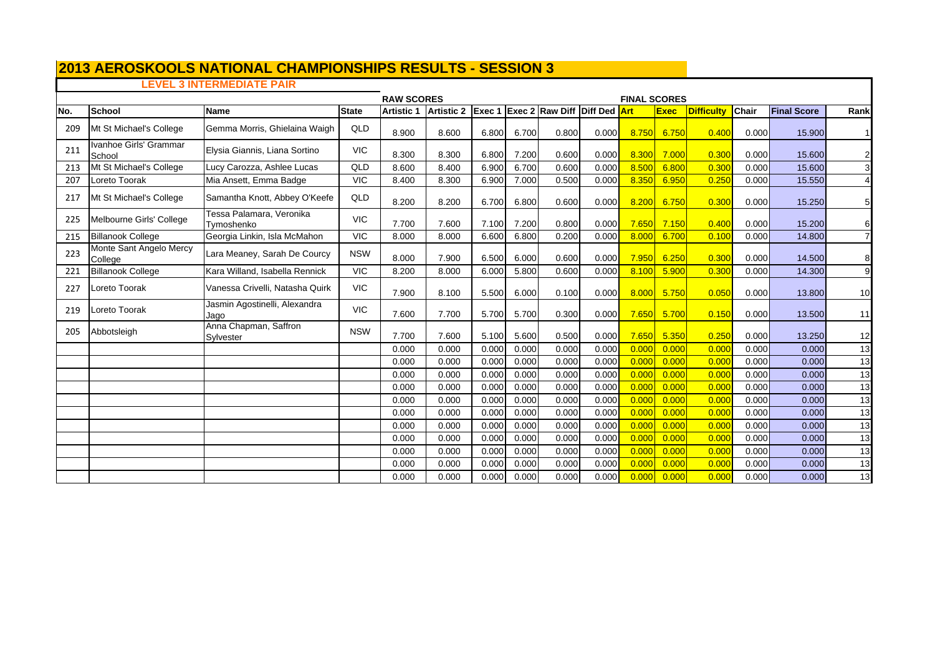# **2013 AEROSKOOLS NATIONAL CHAMPIONSHIPS RESULTS - SESSION 3 LEVEL 3 INTERMEDIATE PAIR**

|     |                                    |                                        | <b>RAW SCORES</b><br><b>FINAL SCORES</b> |                   |                   |       |       |                                        |       |            |             |                   |              |                    |                |
|-----|------------------------------------|----------------------------------------|------------------------------------------|-------------------|-------------------|-------|-------|----------------------------------------|-------|------------|-------------|-------------------|--------------|--------------------|----------------|
| No. | <b>School</b>                      | <b>Name</b>                            | <b>State</b>                             | <b>Artistic 1</b> | <b>Artistic 2</b> |       |       | <b>Exec 1 Exec 2 Raw Diff Diff Ded</b> |       | <b>Art</b> | <b>Exec</b> | <b>Difficulty</b> | <b>Chair</b> | <b>Final Score</b> | Rank           |
| 209 | Mt St Michael's College            | Gemma Morris, Ghielaina Waigh          | QLD                                      | 8.900             | 8.600             | 6.800 | 6.700 | 0.800                                  | 0.000 | 8.750      | 6.750       | 0.400             | 0.000        | 15.900             | -1             |
| 211 | Ivanhoe Girls' Grammar<br>School   | Elysia Giannis, Liana Sortino          | <b>VIC</b>                               | 8.300             | 8.300             | 6.800 | 7.200 | 0.600                                  | 0.000 | 8.300      | 7.000       | 0.300             | 0.000        | 15.600             | 2              |
| 213 | Mt St Michael's College            | Lucy Carozza, Ashlee Lucas             | QLD                                      | 8.600             | 8.400             | 6.900 | 6.700 | 0.600                                  | 0.000 | 8.500      | 6.800       | 0.300             | 0.000        | 15.600             | 3              |
| 207 | Loreto Toorak                      | Mia Ansett, Emma Badge                 | <b>VIC</b>                               | 8.400             | 8.300             | 6.900 | 7.000 | 0.500                                  | 0.000 | 8.350      | 6.950       | 0.250             | 0.000        | 15.550             |                |
| 217 | Mt St Michael's College            | Samantha Knott, Abbey O'Keefe          | QLD                                      | 8.200             | 8.200             | 6.700 | 6.800 | 0.600                                  | 0.000 | 8.200      | 6.750       | 0.300             | 0.000        | 15.250             | 5              |
| 225 | Melbourne Girls' College           | Tessa Palamara, Veronika<br>Tymoshenko | <b>VIC</b>                               | 7.700             | 7.600             | 7.100 | 7.200 | 0.800                                  | 0.000 | 7.650      | 7.150       | 0.400             | 0.000        | 15.200             | 6              |
| 215 | <b>Billanook College</b>           | Georgia Linkin, Isla McMahon           | <b>VIC</b>                               | 8.000             | 8.000             | 6.600 | 6.800 | 0.200                                  | 0.000 | 8.000      | 6.700       | 0.100             | 0.000        | 14.800             |                |
| 223 | Monte Sant Angelo Mercy<br>College | Lara Meaney, Sarah De Courcy           | <b>NSW</b>                               | 8.000             | 7.900             | 6.500 | 6.000 | 0.600                                  | 0.000 | 7.950      | 6.250       | 0.300             | 0.000        | 14.500             | 8              |
| 221 | <b>Billanook College</b>           | Kara Willand, Isabella Rennick         | <b>VIC</b>                               | 8.200             | 8.000             | 6.000 | 5.800 | 0.600                                  | 0.000 | 8.100      | 5.900       | 0.300             | 0.000        | 14.300             | 9              |
| 227 | Loreto Toorak                      | Vanessa Crivelli, Natasha Quirk        | <b>VIC</b>                               | 7.900             | 8.100             | 5.500 | 6.000 | 0.100                                  | 0.000 | 8.000      | 5.750       | 0.050             | 0.000        | 13.800             | 10             |
| 219 | Loreto Toorak                      | Jasmin Agostinelli, Alexandra<br>Jaqo  | <b>VIC</b>                               | 7.600             | 7.700             | 5.700 | 5.700 | 0.300                                  | 0.000 | 7.650      | 5.700       | 0.150             | 0.000        | 13.500             | 11             |
| 205 | Abbotsleigh                        | Anna Chapman, Saffron<br>Sylvester     | <b>NSW</b>                               | 7.700             | 7.600             | 5.100 | 5.600 | 0.500                                  | 0.000 | 7.650      | 5.350       | 0.250             | 0.000        | 13.250             | 12             |
|     |                                    |                                        |                                          | 0.000             | 0.000             | 0.000 | 0.000 | 0.000                                  | 0.000 | 0.000      | 0.000       | 0.000             | 0.000        | 0.000              | 13             |
|     |                                    |                                        |                                          | 0.000             | 0.000             | 0.000 | 0.000 | 0.000                                  | 0.000 | 0.000      | 0.000       | 0.000             | 0.000        | 0.000              | 13             |
|     |                                    |                                        |                                          | 0.000             | 0.000             | 0.000 | 0.000 | 0.000                                  | 0.000 | 0.000      | 0.000       | 0.000             | 0.000        | 0.000              | 13             |
|     |                                    |                                        |                                          | 0.000             | 0.000             | 0.000 | 0.000 | 0.000                                  | 0.000 | 0.000      | 0.000       | 0.000             | 0.000        | 0.000              | 13             |
|     |                                    |                                        |                                          | 0.000             | 0.000             | 0.000 | 0.000 | 0.000                                  | 0.000 | 0.000      | 0.000       | 0.000             | 0.000        | 0.000              | $\overline{a}$ |
|     |                                    |                                        |                                          | 0.000             | 0.000             | 0.000 | 0.000 | 0.000                                  | 0.000 | 0.000      | 0.000       | 0.000             | 0.000        | 0.000              | $\overline{a}$ |
|     |                                    |                                        |                                          | 0.000             | 0.000             | 0.000 | 0.000 | 0.000                                  | 0.000 | 0.000      | 0.000       | 0.000             | 0.000        | 0.000              | 13             |
|     |                                    |                                        |                                          | 0.000             | 0.000             | 0.000 | 0.000 | 0.000                                  | 0.000 | 0.000      | 0.000       | 0.000             | 0.000        | 0.000              | 13             |
|     |                                    |                                        |                                          | 0.000             | 0.000             | 0.000 | 0.000 | 0.000                                  | 0.000 | 0.000      | 0.000       | 0.000             | 0.000        | 0.000              | 13             |
|     |                                    |                                        |                                          | 0.000             | 0.000             | 0.000 | 0.000 | 0.000                                  | 0.000 | 0.000      | 0.000       | 0.000             | 0.000        | 0.000              | 13             |
|     |                                    |                                        |                                          | 0.000             | 0.000             | 0.000 | 0.000 | 0.000                                  | 0.000 | 0.000      | 0.000       | 0.000             | 0.000        | 0.000              | 13             |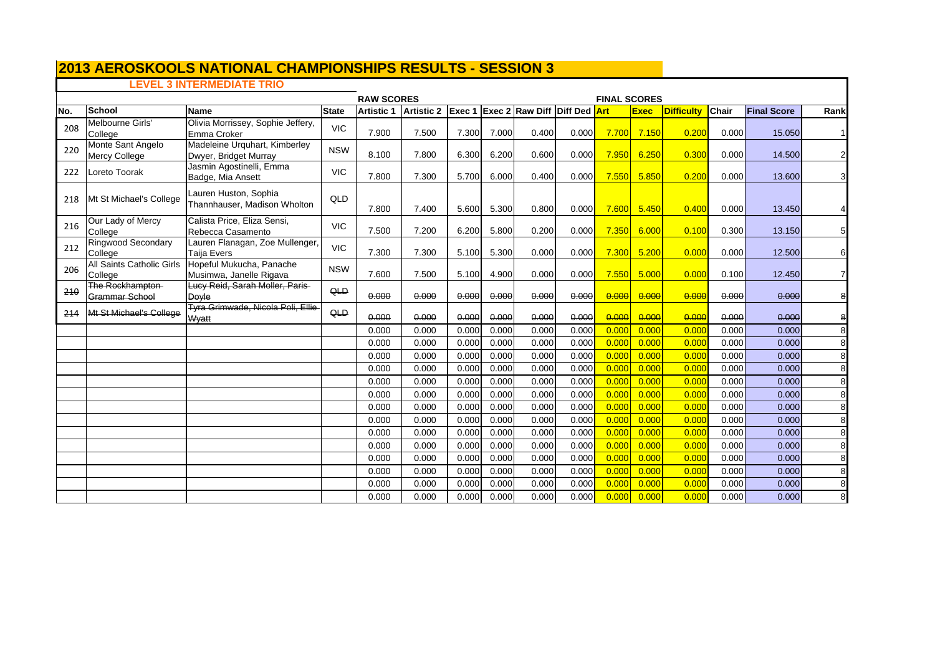# **2013 AEROSKOOLS NATIONAL CHAMPIONSHIPS RESULTS - SESSION 3 LEVEL 3 INTERMEDIATE TRIO**

|      |                                           |                                                        |              | <b>RAW SCORES</b> |                                                |       |       |       |       | <b>FINAL SCORES</b> |             |                   |       |                    |                |  |
|------|-------------------------------------------|--------------------------------------------------------|--------------|-------------------|------------------------------------------------|-------|-------|-------|-------|---------------------|-------------|-------------------|-------|--------------------|----------------|--|
| INo. | School                                    | <b>Name</b>                                            | <b>State</b> | <b>Artistic 1</b> | Artistic 2 Exec 1 Exec 2 Raw Diff Diff Ded Art |       |       |       |       |                     | <b>Exec</b> | <b>Difficulty</b> | Chair | <b>Final Score</b> | Rank           |  |
| 208  | Melbourne Girls'<br>College               | Olivia Morrissey, Sophie Jeffery,<br>Emma Croker       | <b>VIC</b>   | 7.900             | 7.500                                          | 7.300 | 7.000 | 0.400 | 0.000 | 7.700               | 7.150       | 0.200             | 0.000 | 15.050             | $1\vert$       |  |
| 220  | Monte Sant Angelo<br><b>Mercy College</b> | Madeleine Urquhart, Kimberley<br>Dwyer, Bridget Murray | <b>NSW</b>   | 8.100             | 7.800                                          | 6.300 | 6.200 | 0.600 | 0.000 | 7.950               | 6.250       | 0.300             | 0.000 | 14.500             | $\mathbf{2}$   |  |
| 222  | Loreto Toorak                             | Jasmin Agostinelli, Emma<br>Badge, Mia Ansett          | <b>VIC</b>   | 7.800             | 7.300                                          | 5.700 | 6.000 | 0.400 | 0.000 | 7.550               | 5.850       | 0.200             | 0.000 | 13.600             | $\overline{3}$ |  |
| 218  | Mt St Michael's College                   | Lauren Huston, Sophia<br>Thannhauser, Madison Wholton  | QLD          | 7.800             | 7.400                                          | 5.600 | 5.300 | 0.800 | 0.000 | 7.600               | 5.450       | 0.400             | 0.000 | 13.450             |                |  |
| 216  | Our Lady of Mercy<br>College              | Calista Price, Eliza Sensi,<br>Rebecca Casamento       | <b>VIC</b>   | 7.500             | 7.200                                          | 6.200 | 5.800 | 0.200 | 0.000 | 7.350               | 6.000       | 0.100             | 0.300 | 13.150             | 5 <sub>l</sub> |  |
| 212  | <b>Ringwood Secondary</b><br>College      | Lauren Flanagan, Zoe Mullenger,<br><b>Taija Evers</b>  | <b>VIC</b>   | 7.300             | 7.300                                          | 5.100 | 5.300 | 0.000 | 0.000 | 7.300               | 5.200       | 0.000             | 0.000 | 12,500             | 6              |  |
| 206  | All Saints Catholic Girls<br>College      | Hopeful Mukucha, Panache<br>Musimwa, Janelle Rigava    | <b>NSW</b>   | 7.600             | 7.500                                          | 5.100 | 4.900 | 0.000 | 0.000 | 7.550               | 5.000       | 0.000             | 0.100 | 12.450             | $\mathbf{7}$   |  |
| 210  | The Rockhampton-<br><b>Grammar School</b> | Lucy Reid, Sarah Moller, Paris<br>Dovle                | QLD          | 0.000             | 0.000                                          | 0.000 | 0.000 | 0.000 | 0.000 | 0.000               | 0.000       | 0.000             | 0.000 | 0.000              | 8              |  |
| 214  | Mt St Michael's College                   | Tyra Grimwade, Nicola Poli, Ellie<br>Wyatt             | QLD          | 0.000             | 0.000                                          | 0.000 | 0.000 | 0.000 | 0.000 | 0.000               | 0.000       | 0.000             | 0.000 | 0.000              | 8              |  |
|      |                                           |                                                        |              | 0.000             | 0.000                                          | 0.000 | 0.000 | 0.000 | 0.000 | 0.00C               | 0.000       | 0.000             | 0.000 | 0.000              | 8              |  |
|      |                                           |                                                        |              | 0.000             | 0.000                                          | 0.000 | 0.000 | 0.000 | 0.000 | 0.00C               | 0.000       | 0.000             | 0.000 | 0.000              | 8              |  |
|      |                                           |                                                        |              | 0.000             | 0.000                                          | 0.000 | 0.000 | 0.000 | 0.000 | 0.000               | 0.000       | 0.000             | 0.000 | 0.000              | 8              |  |
|      |                                           |                                                        |              | 0.000             | 0.000                                          | 0.000 | 0.000 | 0.000 | 0.000 | 0.000               | 0.000       | 0.000             | 0.000 | 0.000              | 8              |  |
|      |                                           |                                                        |              | 0.000             | 0.000                                          | 0.000 | 0.000 | 0.000 | 0.000 | 0.00C               | 0.000       | 0.000             | 0.000 | 0.000              | 8              |  |
|      |                                           |                                                        |              | 0.000             | 0.000                                          | 0.000 | 0.000 | 0.000 | 0.000 | 0.000               | 0.000       | 0.000             | 0.000 | 0.000              | 8              |  |
|      |                                           |                                                        |              | 0.000             | 0.000                                          | 0.000 | 0.000 | 0.000 | 0.000 | 0.000               | 0.000       | 0.000             | 0.000 | 0.000              | 8              |  |
|      |                                           |                                                        |              | 0.000             | 0.000                                          | 0.000 | 0.000 | 0.000 | 0.000 | 0.00C               | 0.000       | 0.000             | 0.000 | 0.000              | 8              |  |
|      |                                           |                                                        |              | 0.000             | 0.000                                          | 0.000 | 0.000 | 0.000 | 0.000 | 0.000               | 0.000       | 0.000             | 0.000 | 0.000              | 8              |  |
|      |                                           |                                                        |              | 0.000             | 0.000                                          | 0.000 | 0.000 | 0.000 | 0.000 | 0.00C               | 0.000       | 0.000             | 0.000 | 0.000              | 8              |  |
|      |                                           |                                                        |              | 0.000             | 0.000                                          | 0.000 | 0.000 | 0.000 | 0.000 | 0.00C               | 0.000       | 0.000             | 0.000 | 0.000              | 8              |  |
|      |                                           |                                                        |              | 0.000             | 0.000                                          | 0.000 | 0.000 | 0.000 | 0.000 | 0.000               | 0.000       | 0.000             | 0.000 | 0.000              | 8              |  |
|      |                                           |                                                        |              | 0.000             | 0.000                                          | 0.000 | 0.000 | 0.000 | 0.000 | 0.000               | 0.000       | 0.000             | 0.000 | 0.000              | 8              |  |
|      |                                           |                                                        |              | 0.000             | 0.000                                          | 0.000 | 0.000 | 0.000 | 0.000 | 0.00C               | 0.000       | 0.000             | 0.000 | 0.000              | 8              |  |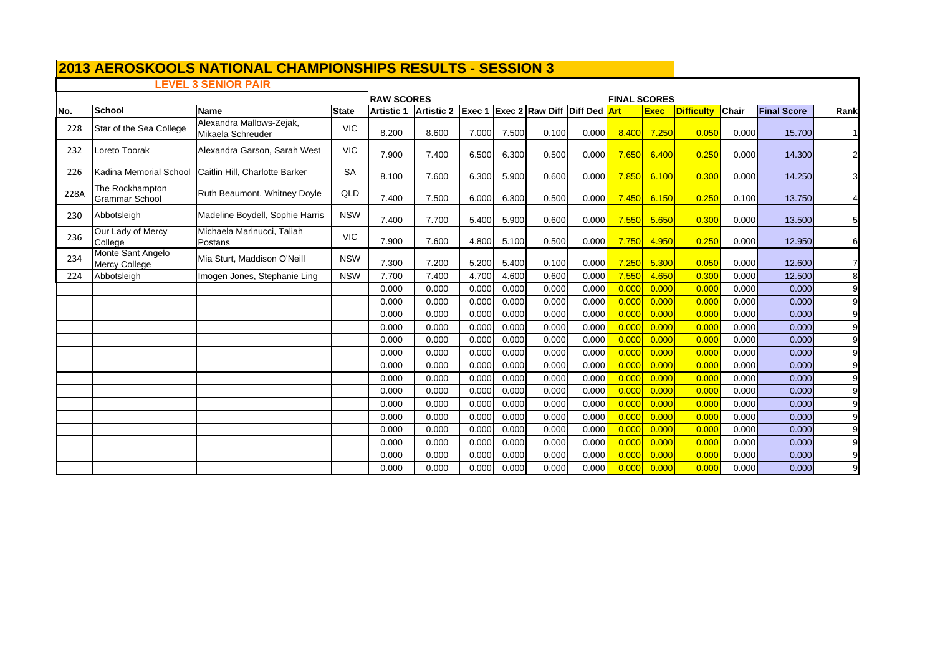# **LEVEL 3 SENIOR PAIR**

|      |                                           |                                               | <b>RAW SCORES</b><br><b>FINAL SCORES</b><br><b>Exec 1 Exec 2 Raw Diff Diff Ded Art</b> |                   |            |       |       |       |       |       |             |                   |              |                    |                |
|------|-------------------------------------------|-----------------------------------------------|----------------------------------------------------------------------------------------|-------------------|------------|-------|-------|-------|-------|-------|-------------|-------------------|--------------|--------------------|----------------|
| No.  | School                                    | <b>Name</b>                                   | <b>State</b>                                                                           | <b>Artistic 1</b> | Artistic 2 |       |       |       |       |       | <b>Exec</b> | <b>Difficulty</b> | <b>Chair</b> | <b>Final Score</b> | Rank           |
| 228  | Star of the Sea College                   | Alexandra Mallows-Zejak,<br>Mikaela Schreuder | <b>VIC</b>                                                                             | 8.200             | 8.600      | 7.000 | 7.500 | 0.100 | 0.000 | 8.400 | 7.250       | 0.050             | 0.000        | 15.700             |                |
| 232  | Loreto Toorak                             | Alexandra Garson, Sarah West                  | <b>VIC</b>                                                                             | 7.900             | 7.400      | 6.500 | 6.300 | 0.500 | 0.000 | 7.650 | 6.400       | 0.250             | 0.000        | 14.300             | 2              |
| 226  | Kadina Memorial School                    | Caitlin Hill, Charlotte Barker                | <b>SA</b>                                                                              | 8.100             | 7.600      | 6.300 | 5.900 | 0.600 | 0.000 | 7.850 | 6.100       | 0.300             | 0.000        | 14.250             | 3I             |
| 228A | The Rockhampton<br><b>Grammar School</b>  | Ruth Beaumont, Whitney Doyle                  | QLD                                                                                    | 7.400             | 7.500      | 6.000 | 6.300 | 0.500 | 0.000 | 7.450 | 6.150       | 0.250             | 0.100        | 13.750             | 4              |
| 230  | Abbotsleigh                               | Madeline Boydell, Sophie Harris               | <b>NSW</b>                                                                             | 7.400             | 7.700      | 5.400 | 5.900 | 0.600 | 0.000 | 7.550 | 5.650       | 0.300             | 0.000        | 13.500             | 5 <sub>l</sub> |
| 236  | Our Lady of Mercy<br>College              | Michaela Marinucci, Taliah<br>Postans         | <b>VIC</b>                                                                             | 7.900             | 7.600      | 4.800 | 5.100 | 0.500 | 0.000 | 7.750 | 4.950       | 0.250             | 0.000        | 12.950             | 6              |
| 234  | Monte Sant Angelo<br><b>Mercy College</b> | Mia Sturt, Maddison O'Neill                   | <b>NSW</b>                                                                             | 7.300             | 7.200      | 5.200 | 5.400 | 0.100 | 0.000 | 7.250 | 5.300       | 0.050             | 0.000        | 12.600             | 7 <sup>1</sup> |
| 224  | Abbotsleigh                               | Imogen Jones, Stephanie Ling                  | <b>NSW</b>                                                                             | 7.700             | 7.400      | 4.700 | 4.600 | 0.600 | 0.000 | 7.550 | 4.650       | 0.300             | 0.000        | 12.500             | 8              |
|      |                                           |                                               |                                                                                        | 0.000             | 0.000      | 0.000 | 0.000 | 0.000 | 0.000 | 0.000 | 0.000       | 0.000             | 0.000        | 0.000              | 9              |
|      |                                           |                                               |                                                                                        | 0.000             | 0.000      | 0.000 | 0.000 | 0.000 | 0.000 | 0.000 | 0.000       | 0.000             | 0.000        | 0.000              | 9              |
|      |                                           |                                               |                                                                                        | 0.000             | 0.000      | 0.000 | 0.000 | 0.000 | 0.000 | 0.000 | 0.000       | 0.000             | 0.000        | 0.000              | 9              |
|      |                                           |                                               |                                                                                        | 0.000             | 0.000      | 0.000 | 0.000 | 0.000 | 0.000 | 0.000 | 0.000       | 0.000             | 0.000        | 0.000              | 9              |
|      |                                           |                                               |                                                                                        | 0.000             | 0.000      | 0.000 | 0.000 | 0.000 | 0.000 | 0.000 | 0.000       | 0.000             | 0.000        | 0.000              | 9              |
|      |                                           |                                               |                                                                                        | 0.000             | 0.000      | 0.000 | 0.000 | 0.000 | 0.000 | 0.000 | 0.000       | 0.000             | 0.000        | 0.000              | 9              |
|      |                                           |                                               |                                                                                        | 0.000             | 0.000      | 0.000 | 0.000 | 0.000 | 0.000 | 0.000 | 0.000       | 0.000             | 0.000        | 0.000              | 9              |
|      |                                           |                                               |                                                                                        | 0.000             | 0.000      | 0.000 | 0.000 | 0.000 | 0.000 | 0.000 | 0.000       | 0.000             | 0.000        | 0.000              | 9              |
|      |                                           |                                               |                                                                                        | 0.000             | 0.000      | 0.000 | 0.000 | 0.000 | 0.000 | 0.000 | 0.000       | 0.000             | 0.000        | 0.000              | 9              |
|      |                                           |                                               |                                                                                        | 0.000             | 0.000      | 0.000 | 0.000 | 0.000 | 0.000 | 0.000 | 0.000       | 0.000             | 0.000        | 0.000              | 9              |
|      |                                           |                                               |                                                                                        | 0.000             | 0.000      | 0.000 | 0.000 | 0.000 | 0.000 | 0.000 | 0.000       | 0.00C             | 0.000        | 0.000              | $\overline{9}$ |
|      |                                           |                                               |                                                                                        | 0.000             | 0.000      | 0.000 | 0.000 | 0.000 | 0.000 | 0.000 | 0.000       | 0.000             | 0.000        | 0.000              | 9              |
|      |                                           |                                               |                                                                                        | 0.000             | 0.000      | 0.000 | 0.000 | 0.000 | 0.000 | 0.000 | 0.000       | 0.000             | 0.000        | 0.000              | 9              |
|      |                                           |                                               |                                                                                        | 0.000             | 0.000      | 0.000 | 0.000 | 0.000 | 0.000 | 0.000 | 0.000       | 0.000             | 0.000        | 0.000              | 9              |
|      |                                           |                                               |                                                                                        | 0.000             | 0.000      | 0.000 | 0.000 | 0.000 | 0.000 | 0.000 | 0.000       | 0.000             | 0.000        | 0.000              | 9              |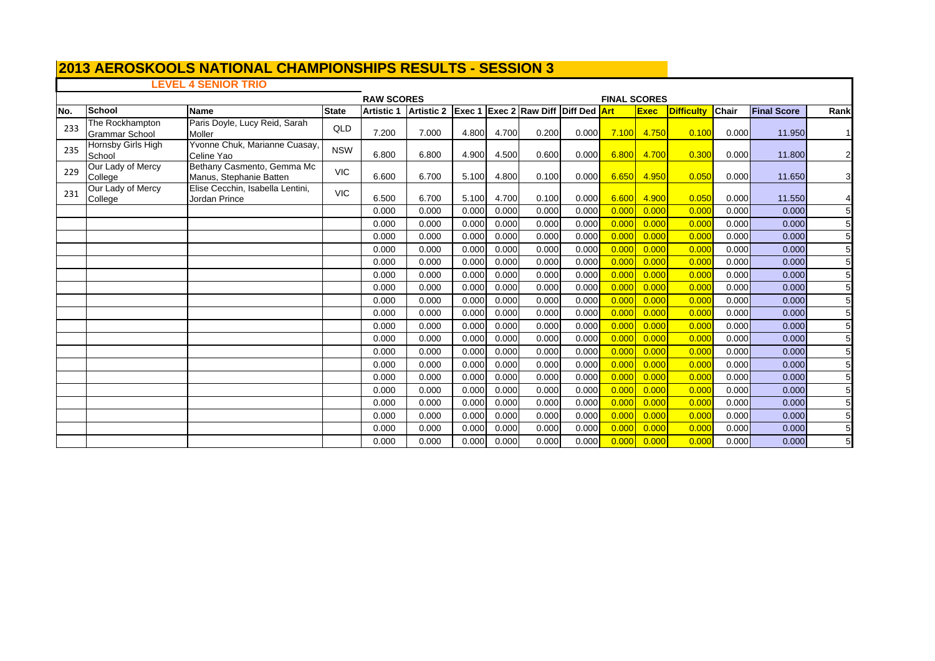# **LEVEL 4 SENIOR TRIO**

|     |                                          |                                                       | <b>RAW SCORES</b><br>Artistic 2 Exec 1 Exec 2 Raw Diff Diff Ded Art |                   |       |       |       |       |       |       |               | <b>FINAL SCORES</b> |       |                    |                 |  |  |  |
|-----|------------------------------------------|-------------------------------------------------------|---------------------------------------------------------------------|-------------------|-------|-------|-------|-------|-------|-------|---------------|---------------------|-------|--------------------|-----------------|--|--|--|
| No. | <b>School</b>                            | <b>Name</b>                                           | <b>State</b>                                                        | <b>Artistic 1</b> |       |       |       |       |       |       | <b>Exec</b>   | <b>Difficulty</b>   | Chair | <b>Final Score</b> | Rank            |  |  |  |
| 233 | The Rockhampton<br><b>Grammar School</b> | Paris Doyle, Lucy Reid, Sarah<br>Moller               | QLD                                                                 | 7.200             | 7.000 | 4.800 | 4.700 | 0.200 | 0.000 |       | $7.100$ 4.750 | 0.100               | 0.000 | 11.950             | $\mathbf{1}$    |  |  |  |
| 235 | Hornsby Girls High<br>School             | Yvonne Chuk, Marianne Cuasay,<br>Celine Yao           | <b>NSW</b>                                                          | 6.800             | 6.800 | 4.900 | 4.500 | 0.600 | 0.000 | 6.800 | 4.700         | 0.300               | 0.000 | 11.800             | $\overline{2}$  |  |  |  |
| 229 | Our Lady of Mercy<br>College             | Bethany Casmento, Gemma Mc<br>Manus, Stephanie Batten | <b>VIC</b>                                                          | 6.600             | 6.700 | 5.100 | 4.800 | 0.100 | 0.000 | 6.650 | 4.950         | 0.050               | 0.000 | 11.650             | 3               |  |  |  |
| 231 | Our Lady of Mercy<br>College             | Elise Cecchin, Isabella Lentini,<br>Jordan Prince     | <b>VIC</b>                                                          | 6.500             | 6.700 | 5.100 | 4.700 | 0.100 | 0.000 | 6.600 | 4.900         | 0.050               | 0.000 | 11.550             | $\overline{4}$  |  |  |  |
|     |                                          |                                                       |                                                                     | 0.000             | 0.000 | 0.000 | 0.000 | 0.000 | 0.000 | 0.000 | 0.000         | 0.000               | 0.000 | 0.000              | 5               |  |  |  |
|     |                                          |                                                       |                                                                     | 0.000             | 0.000 | 0.000 | 0.000 | 0.000 | 0.000 | 0.000 | 0.000         | 0.000               | 0.000 | 0.000              | $5\overline{)}$ |  |  |  |
|     |                                          |                                                       |                                                                     | 0.000             | 0.000 | 0.000 | 0.000 | 0.000 | 0.000 | 0.000 | 0.000         | 0.000               | 0.000 | 0.000              | 5 <sub>l</sub>  |  |  |  |
|     |                                          |                                                       |                                                                     | 0.000             | 0.000 | 0.000 | 0.000 | 0.000 | 0.000 | 0.000 | 0.000         | 0.000               | 0.000 | 0.000              | 5 <sub>l</sub>  |  |  |  |
|     |                                          |                                                       |                                                                     | 0.000             | 0.000 | 0.000 | 0.000 | 0.000 | 0.000 | 0.000 | 0.000         | 0.000               | 0.000 | 0.000              | 5 <sub>l</sub>  |  |  |  |
|     |                                          |                                                       |                                                                     | 0.000             | 0.000 | 0.000 | 0.000 | 0.000 | 0.000 | 0.000 | 0.000         | 0.000               | 0.000 | 0.000              | 5 <sub>l</sub>  |  |  |  |
|     |                                          |                                                       |                                                                     | 0.000             | 0.000 | 0.000 | 0.000 | 0.000 | 0.000 | 0.000 | 0.000         | 0.000               | 0.000 | 0.000              | 5 <sub>l</sub>  |  |  |  |
|     |                                          |                                                       |                                                                     | 0.000             | 0.000 | 0.000 | 0.000 | 0.000 | 0.000 | 0.000 | 0.000         | 0.000               | 0.000 | 0.000              | 5               |  |  |  |
|     |                                          |                                                       |                                                                     | 0.000             | 0.000 | 0.000 | 0.000 | 0.000 | 0.000 | 0.000 | 0.000         | 0.000               | 0.000 | 0.000              | 5 <sub>l</sub>  |  |  |  |
|     |                                          |                                                       |                                                                     | 0.000             | 0.000 | 0.000 | 0.000 | 0.000 | 0.000 | 0.000 | 0.000         | 0.000               | 0.000 | 0.000              | 5               |  |  |  |
|     |                                          |                                                       |                                                                     | 0.000             | 0.000 | 0.000 | 0.000 | 0.000 | 0.000 | 0.000 | 0.000         | 0.000               | 0.000 | 0.000              | 5               |  |  |  |
|     |                                          |                                                       |                                                                     | 0.000             | 0.000 | 0.000 | 0.000 | 0.000 | 0.000 | 0.000 | 0.000         | 0.000               | 0.000 | 0.000              | 5 <sub>l</sub>  |  |  |  |
|     |                                          |                                                       |                                                                     | 0.000             | 0.000 | 0.000 | 0.000 | 0.000 | 0.000 | 0.000 | 0.000         | 0.000               | 0.000 | 0.000              | 5               |  |  |  |
|     |                                          |                                                       |                                                                     | 0.000             | 0.000 | 0.000 | 0.000 | 0.000 | 0.000 | 0.000 | 0.000         | 0.000               | 0.000 | 0.000              | 5 <sub>l</sub>  |  |  |  |
|     |                                          |                                                       |                                                                     | 0.000             | 0.000 | 0.000 | 0.000 | 0.000 | 0.000 | 0.000 | 0.000         | 0.000               | 0.000 | 0.000              | 5 <sub>l</sub>  |  |  |  |
|     |                                          |                                                       |                                                                     | 0.000             | 0.000 | 0.000 | 0.000 | 0.000 | 0.000 | 0.000 | 0.000         | 0.000               | 0.000 | 0.000              | 5 <sub>l</sub>  |  |  |  |
|     |                                          |                                                       |                                                                     | 0.000             | 0.000 | 0.000 | 0.000 | 0.000 | 0.000 | 0.000 | 0.000         | 0.000               | 0.000 | 0.000              | 5 <sub>l</sub>  |  |  |  |
|     |                                          |                                                       |                                                                     | 0.000             | 0.000 | 0.000 | 0.000 | 0.000 | 0.000 | 0.000 | 0.000         | 0.000               | 0.000 | 0.000              | 5 <sub>l</sub>  |  |  |  |
|     |                                          |                                                       |                                                                     | 0.000             | 0.000 | 0.000 | 0.000 | 0.000 | 0.000 | 0.000 | 0.000         | 0.000               | 0.000 | 0.000              | 5               |  |  |  |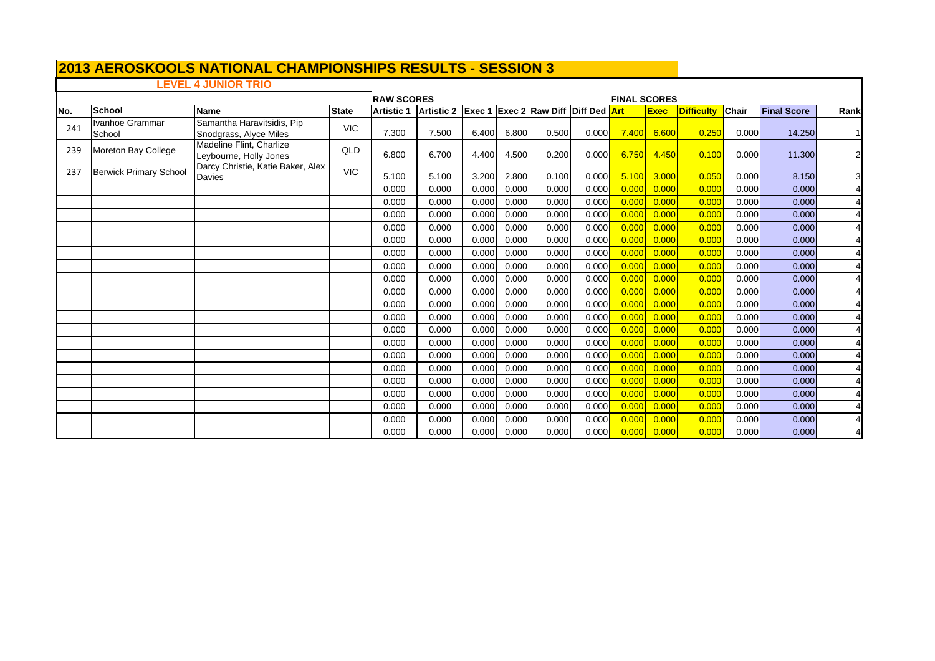# **2013 AEROSKOOLS NATIONAL CHAMPIONSHIPS RESULTS - SESSION 3 LEVEL 4 JUNIOR TRIO**

|      |                               |                                                      |              | <b>RAW SCORES</b> |                   |        |       |                                     |       | <b>FINAL SCORES</b> |             |                   |       |                    |                       |  |
|------|-------------------------------|------------------------------------------------------|--------------|-------------------|-------------------|--------|-------|-------------------------------------|-------|---------------------|-------------|-------------------|-------|--------------------|-----------------------|--|
| INo. | School                        | <b>Name</b>                                          | <b>State</b> | <b>Artistic 1</b> | <b>Artistic 2</b> | Exec 1 |       | <b>Exec 2 Raw Diff Diff Ded Art</b> |       |                     | <b>Exec</b> | <b>Difficulty</b> | Chair | <b>Final Score</b> | Rank                  |  |
| 241  | Ivanhoe Grammar<br>School     | Samantha Haravitsidis, Pip<br>Snodgrass, Alyce Miles | <b>VIC</b>   | 7.300             | 7.500             | 6.400  | 6.800 | 0.500                               | 0.000 | 7.400               | 6.600       | 0.250             | 0.000 | 14.250             |                       |  |
| 239  | Moreton Bay College           | Madeline Flint, Charlize<br>Leybourne, Holly Jones   | QLD          | 6.800             | 6.700             | 4.400  | 4.500 | 0.200                               | 0.000 | 6.750               | 4.450       | 0.100             | 0.000 | 11.300             | $\mathbf{2}$          |  |
| 237  | <b>Berwick Primary School</b> | Darcy Christie, Katie Baker, Alex<br>Davies          | <b>VIC</b>   | 5.100             | 5.100             | 3.200  | 2.800 | 0.100                               | 0.000 | 5.100               | 3.000       | 0.050             | 0.000 | 8.150              | 3                     |  |
|      |                               |                                                      |              | 0.000             | 0.000             | 0.000  | 0.000 | 0.000                               | 0.000 | 0.000               | 0.000       | 0.000             | 0.000 | 0.000              | $\overline{4}$        |  |
|      |                               |                                                      |              | 0.000             | 0.000             | 0.000  | 0.000 | 0.000                               | 0.000 | 0.000               | 0.000       | 0.000             | 0.000 | 0.000              | $\overline{4}$        |  |
|      |                               |                                                      |              | 0.000             | 0.000             | 0.000  | 0.000 | 0.000                               | 0.000 | 0.000               | 0.000       | 0.000             | 0.000 | 0.000              |                       |  |
|      |                               |                                                      |              | 0.000             | 0.000             | 0.000  | 0.000 | 0.000                               | 0.000 | 0.000               | 0.000       | 0.000             | 0.000 | 0.000              |                       |  |
|      |                               |                                                      |              | 0.000             | 0.000             | 0.000  | 0.000 | 0.000                               | 0.000 | 0.000               | 0.000       | 0.000             | 0.000 | 0.000              | $\overline{4}$        |  |
|      |                               |                                                      |              | 0.000             | 0.000             | 0.000  | 0.000 | 0.000                               | 0.000 | 0.000               | 0.000       | 0.000             | 0.000 | 0.000              | $\overline{4}$        |  |
|      |                               |                                                      |              | 0.000             | 0.000             | 0.000  | 0.000 | 0.000                               | 0.000 | 0.000               | 0.000       | 0.000             | 0.000 | 0.000              |                       |  |
|      |                               |                                                      |              | 0.000             | 0.000             | 0.000  | 0.000 | 0.000                               | 0.000 | 0.000               | 0.000       | 0.000             | 0.000 | 0.000              | $\overline{4}$        |  |
|      |                               |                                                      |              | 0.000             | 0.000             | 0.000  | 0.000 | 0.000                               | 0.000 | 0.000               | 0.000       | 0.000             | 0.000 | 0.000              |                       |  |
|      |                               |                                                      |              | 0.000             | 0.000             | 0.000  | 0.000 | 0.000                               | 0.000 | 0.000               | 0.000       | 0.000             | 0.000 | 0.000              | $\overline{4}$        |  |
|      |                               |                                                      |              | 0.000             | 0.000             | 0.000  | 0.000 | 0.000                               | 0.000 | 0.000               | 0.000       | 0.000             | 0.000 | 0.000              |                       |  |
|      |                               |                                                      |              | 0.000             | 0.000             | 0.000  | 0.000 | 0.000                               | 0.000 | 0.000               | 0.000       | 0.000             | 0.000 | 0.000              | $\overline{4}$        |  |
|      |                               |                                                      |              | 0.000             | 0.000             | 0.000  | 0.000 | 0.000                               | 0.000 | 0.000               | 0.000       | 0.000             | 0.000 | 0.000              | $\overline{4}$        |  |
|      |                               |                                                      |              | 0.000             | 0.000             | 0.000  | 0.000 | 0.000                               | 0.000 | 0.000               | 0.000       | 0.000             | 0.000 | 0.000              | $\overline{4}$        |  |
|      |                               |                                                      |              | 0.000             | 0.000             | 0.000  | 0.000 | 0.000                               | 0.000 | 0.000               | 0.000       | 0.000             | 0.000 | 0.000              |                       |  |
|      |                               |                                                      |              | 0.000             | 0.000             | 0.000  | 0.000 | 0.000                               | 0.000 | 0.000               | 0.000       | 0.000             | 0.000 | 0.000              | $\overline{4}$        |  |
|      |                               |                                                      |              | 0.000             | 0.000             | 0.000  | 0.000 | 0.000                               | 0.000 | 0.000               | 0.000       | 0.000             | 0.000 | 0.000              | $\boldsymbol{\Delta}$ |  |
|      |                               |                                                      |              | 0.000             | 0.000             | 0.000  | 0.000 | 0.000                               | 0.000 | 0.000               | 0.000       | 0.000             | 0.000 | 0.000              | $\overline{4}$        |  |
|      |                               |                                                      |              | 0.000             | 0.000             | 0.000  | 0.000 | 0.000                               | 0.000 | 0.000               | 0.000       | 0.000             | 0.000 | 0.000              |                       |  |
|      |                               |                                                      |              | 0.000             | 0.000             | 0.000  | 0.000 | 0.000                               | 0.000 | 0.000               | 0.000       | 0.000             | 0.000 | 0.000              |                       |  |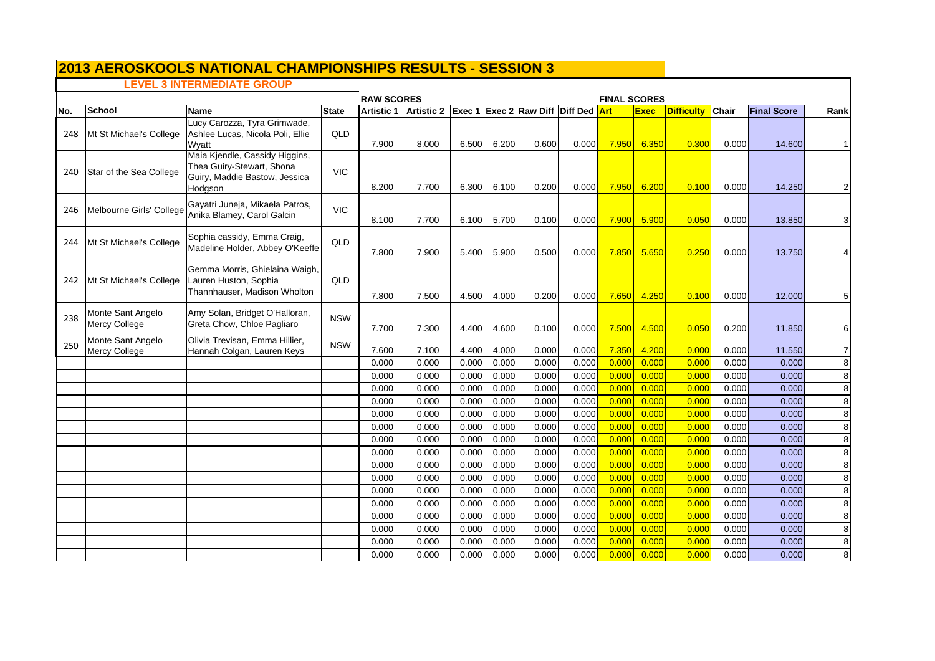# **LEVEL 3 INTERMEDIATE GROUP**

|     |                                           | <b>FINAL SCORES</b>                                                                                     |              |                   |                   |                |                |                                            |                |                |                |                   |                |                    |                |
|-----|-------------------------------------------|---------------------------------------------------------------------------------------------------------|--------------|-------------------|-------------------|----------------|----------------|--------------------------------------------|----------------|----------------|----------------|-------------------|----------------|--------------------|----------------|
| No. | <b>School</b>                             | <b>Name</b>                                                                                             | <b>State</b> | <b>Artistic 1</b> | <b>Artistic 2</b> |                |                | <b>Exec 1 Exec 2 Raw Diff Diff Ded Art</b> |                |                | <b>Exec</b>    | <b>Difficulty</b> | Chair          | <b>Final Score</b> | Rank           |
| 248 | Mt St Michael's College                   | Lucy Carozza, Tyra Grimwade,<br>Ashlee Lucas, Nicola Poli, Ellie<br>Wyatt                               | QLD          | 7.900             | 8.000             | 6.500          | 6.200          | 0.600                                      | 0.000          | 7.950          | 6.350          | 0.300             | 0.000          | 14.600             | $\mathbf{1}$   |
| 240 | Star of the Sea College                   | Maia Kjendle, Cassidy Higgins,<br>Thea Guiry-Stewart, Shona<br>Guiry, Maddie Bastow, Jessica<br>Hodgson | <b>VIC</b>   | 8.200             | 7.700             | 6.300          | 6.100          | 0.200                                      | 0.000          | 7.950          | 6.200          | 0.100             | 0.000          | 14.250             | 2              |
| 246 | Melbourne Girls' College                  | Gayatri Juneja, Mikaela Patros,<br>Anika Blamey, Carol Galcin                                           | <b>VIC</b>   | 8.100             | 7.700             | 6.100          | 5.700          | 0.100                                      | 0.000          | 7.900          | 5.900          | 0.050             | 0.000          | 13.850             | 3              |
| 244 | Mt St Michael's College                   | Sophia cassidy, Emma Craig,<br>Madeline Holder, Abbey O'Keeffe                                          | QLD          | 7.800             | 7.900             | 5.400          | 5.900          | 0.500                                      | 0.000          | 7.850          | 5.650          | 0.250             | 0.000          | 13.750             |                |
| 242 | Mt St Michael's College                   | Gemma Morris, Ghielaina Waigh,<br>Lauren Huston, Sophia<br>Thannhauser, Madison Wholton                 | QLD          | 7.800             | 7.500             | 4.500          | 4.000          | 0.200                                      | 0.000          | 7.650          | 4.250          | 0.100             | 0.000          | 12.000             | 5              |
| 238 | Monte Sant Angelo<br><b>Mercy College</b> | Amy Solan, Bridget O'Halloran,<br>Greta Chow, Chloe Pagliaro                                            | <b>NSW</b>   | 7.700             | 7.300             | 4.400          | 4.600          | 0.100                                      | 0.000          | 7.500          | 4.500          | 0.050             | 0.200          | 11.850             | 6              |
| 250 | Monte Sant Angelo<br>Mercy College        | Olivia Trevisan, Emma Hillier,<br>Hannah Colgan, Lauren Keys                                            | <b>NSW</b>   | 7.600             | 7.100             | 4.400          | 4.000          | 0.000                                      | 0.000          | 7.350          | 4.200          | 0.000             | 0.000          | 11.550             | $\overline{7}$ |
|     |                                           |                                                                                                         |              | 0.000             | 0.000             | 0.000          | 0.000          | 0.000                                      | 0.000          | 0.000          | 0.000          | 0.000             | 0.000          | 0.000              | 8              |
|     |                                           |                                                                                                         |              | 0.000             | 0.000             | 0.000          | 0.000          | 0.000                                      | 0.000          | 0.000          | 0.000          | 0.000             | 0.000          | 0.000              | 8              |
|     |                                           |                                                                                                         |              | 0.000             | 0.000             | 0.000          | 0.000          | 0.000                                      | 0.000          | 0.000          | 0.000          | 0.000             | 0.000          | 0.000              | 8              |
|     |                                           |                                                                                                         |              | 0.000             | 0.000             | 0.000          | 0.000          | 0.000                                      | 0.000          | 0.000          | 0.000          | 0.000             | 0.000          | 0.000              | 8              |
|     |                                           |                                                                                                         |              | 0.000             | 0.000             | 0.000          | 0.000          | 0.000                                      | 0.000          | 0.000          | 0.000          | 0.000             | 0.000          | 0.000              | 8              |
|     |                                           |                                                                                                         |              | 0.000             | 0.000             | 0.000          | 0.000          | 0.000                                      | 0.000          | 0.000          | 0.000          | 0.000             | 0.000          | 0.000              | 8              |
|     |                                           |                                                                                                         |              | 0.000             | 0.000             | 0.000          | 0.000          | 0.000                                      | 0.000          | 0.000          | 0.000          | 0.000             | 0.000          | 0.000              | 8              |
|     |                                           |                                                                                                         |              | 0.000             | 0.000             | 0.000          | 0.000          | 0.000                                      | 0.000          | 0.000          | 0.000          | 0.000             | 0.000          | 0.000              | 8              |
|     |                                           |                                                                                                         |              | 0.000             | 0.000             | 0.000          | 0.000          | 0.000                                      | 0.000          | 0.000          | 0.000          | 0.000             | 0.000          | 0.000              | 8              |
|     |                                           |                                                                                                         |              | 0.000             | 0.000             | 0.000          | 0.000          | 0.000                                      | 0.000          | 0.000          | 0.000          | 0.000             | 0.000          | 0.000              | 8              |
|     |                                           |                                                                                                         |              | 0.000<br>0.000    | 0.000<br>0.000    | 0.000<br>0.000 | 0.000<br>0.000 | 0.000<br>0.000                             | 0.000<br>0.000 | 0.000<br>0.000 | 0.000<br>0.000 | 0.000<br>0.000    | 0.000<br>0.000 | 0.000<br>0.000     | 8<br>8         |
|     |                                           |                                                                                                         |              | 0.000             | 0.000             | 0.000          | 0.000          | 0.000                                      | 0.000          | 0.000          | 0.000          | 0.000             | 0.000          | 0.000              | 8              |
|     |                                           |                                                                                                         |              | 0.000             | 0.000             | 0.000          | 0.000          | 0.000                                      | 0.000          | 0.000          | 0.000          | 0.000             | 0.000          | 0.000              | 8              |
|     |                                           |                                                                                                         |              | 0.000             | 0.000             | 0.000          | 0.000          | 0.000                                      | 0.000          | 0.000          | 0.000          | 0.000             | 0.000          | 0.000              | $\overline{8}$ |
|     |                                           |                                                                                                         |              | 0.000             | 0.000             | 0.000          | 0.000          | 0.000                                      | 0.000          | 0.000          | 0.000          | 0.000             | 0.000          | 0.000              | 8              |